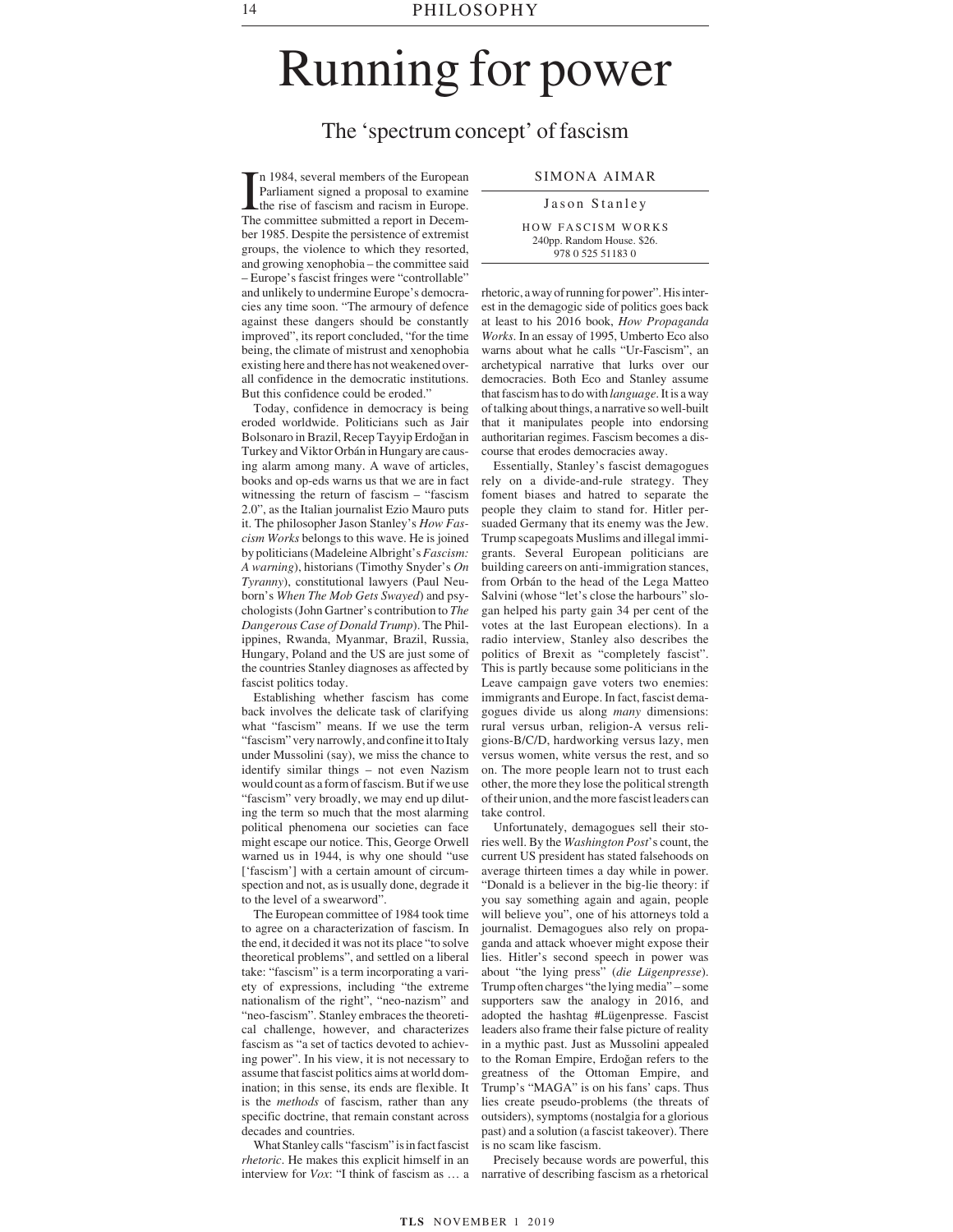## Running for power

## The 'spectrum concept' of fascism

In 1984, several members of the European<br>Parliament signed a proposal to examine<br>the rise of fascism and racism in Europe.<br>The committee submitted a report in Decemn 1984, several members of the European Parliament signed a proposal to examine the rise of fascism and racism in Europe. ber 1985. Despite the persistence of extremist groups, the violence to which they resorted, and growing xenophobia – the committee said – Europe's fascist fringes were "controllable" and unlikely to undermine Europe's democracies any time soon. "The armoury of defence against these dangers should be constantly improved", its report concluded, "for the time being, the climate of mistrust and xenophobia existing here and there has not weakened overall confidence in the democratic institutions. But this confidence could be eroded."

Today, confidence in democracy is being eroded worldwide. Politicians such as Jair Bolsonaro in Brazil, Recep Tayyip Erdoğan in Turkey and Viktor Orbán in Hungary are causing alarm among many. A wave of articles, books and op-eds warns us that we are in fact witnessing the return of fascism – "fascism 2.0", as the Italian journalist Ezio Mauro puts it. The philosopher Jason Stanley's *How Fascism Works* belongs to this wave. He is joined by politicians (Madeleine Albright's *Fascism: A warning*), historians (Timothy Snyder's *On Tyranny*), constitutional lawyers (Paul Neuborn's *When The Mob Gets Swayed*) and psychologists (John Gartner's contribution to *The Dangerous Case of Donald Trump*). The Philippines, Rwanda, Myanmar, Brazil, Russia, Hungary, Poland and the US are just some of the countries Stanley diagnoses as affected by fascist politics today.

Establishing whether fascism has come back involves the delicate task of clarifying what "fascism" means. If we use the term "fascism" very narrowly, and confine it to Italy under Mussolini (say), we miss the chance to identify similar things – not even Nazism would count as a form of fascism. But if we use "fascism" very broadly, we may end up diluting the term so much that the most alarming political phenomena our societies can face might escape our notice. This, George Orwell warned us in 1944, is why one should "use ['fascism'] with a certain amount of circumspection and not, as is usually done, degrade it to the level of a swearword".

The European committee of 1984 took time to agree on a characterization of fascism. In the end, it decided it was not its place "to solve theoretical problems", and settled on a liberal take: "fascism" is a term incorporating a variety of expressions, including "the extreme nationalism of the right", "neo-nazism" and "neo-fascism". Stanley embraces the theoretical challenge, however, and characterizes fascism as "a set of tactics devoted to achieving power". In his view, it is not necessary to assume that fascist politics aims at world domination; in this sense, its ends are flexible. It is the *methods* of fascism, rather than any specific doctrine, that remain constant across decades and countries.

What Stanley calls "fascism" is in fact fascist *rhetoric*. He makes this explicit himself in an interview for *Vox*: "I think of fascism as … a

## SIMONA AIMAR

## Jason Stanley HOW FASCISM WORKS 240pp. Random House. \$26.

978 0 525 51183 0

rhetoric, a way of running for power". His interest in the demagogic side of politics goes back at least to his 2016 book, *How Propaganda Works*. In an essay of 1995, Umberto Eco also warns about what he calls "Ur-Fascism", an archetypical narrative that lurks over our democracies. Both Eco and Stanley assume that fascism has to do with *language*. It is a way of talking about things, a narrative so well-built that it manipulates people into endorsing authoritarian regimes. Fascism becomes a discourse that erodes democracies away.

Essentially, Stanley's fascist demagogues rely on a divide-and-rule strategy. They foment biases and hatred to separate the people they claim to stand for. Hitler persuaded Germany that its enemy was the Jew. Trump scapegoats Muslims and illegal immigrants. Several European politicians are building careers on anti-immigration stances, from Orbán to the head of the Lega Matteo Salvini (whose "let's close the harbours" slogan helped his party gain 34 per cent of the votes at the last European elections). In a radio interview, Stanley also describes the politics of Brexit as "completely fascist". This is partly because some politicians in the Leave campaign gave voters two enemies: immigrants and Europe. In fact, fascist demagogues divide us along *many* dimensions: rural versus urban, religion-A versus religions-B/C/D, hardworking versus lazy, men versus women, white versus the rest, and so on. The more people learn not to trust each other, the more they lose the political strength of their union, and the more fascist leaders can take control.

Unfortunately, demagogues sell their stories well. By the *Washington Post*'s count, the current US president has stated falsehoods on average thirteen times a day while in power. "Donald is a believer in the big-lie theory: if you say something again and again, people will believe you", one of his attorneys told a journalist. Demagogues also rely on propaganda and attack whoever might expose their lies. Hitler's second speech in power was about "the lying press" (*die Lügenpresse*). Trump often charges "the lying media" – some supporters saw the analogy in 2016, and adopted the hashtag #Lügenpresse. Fascist leaders also frame their false picture of reality in a mythic past. Just as Mussolini appealed to the Roman Empire, Erdoğan refers to the greatness of the Ottoman Empire, and Trump's "MAGA" is on his fans' caps. Thus lies create pseudo-problems (the threats of outsiders), symptoms (nostalgia for a glorious past) and a solution (a fascist takeover). There is no scam like fascism.

Precisely because words are powerful, this narrative of describing fascism as a rhetorical